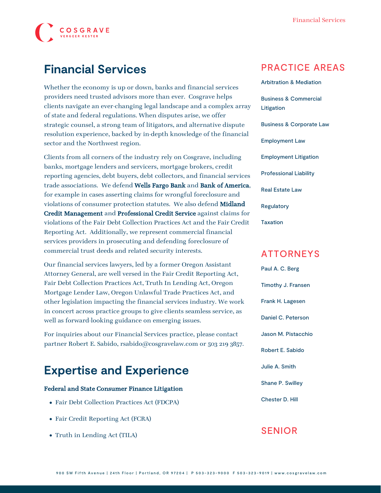

## **Financial Services**

Whether the economy is up or down, banks and financial services providers need trusted advisors more than ever. Cosgrave helps clients navigate an ever-changing legal landscape and a complex array of state and federal regulations. When disputes arise, we offer strategic counsel, a strong team of litigators, and alternative dispute resolution experience, backed by in-depth knowledge of the financial sector and the Northwest region.

Clients from all corners of the industry rely on Cosgrave, including banks, mortgage lenders and servicers, mortgage brokers, credit reporting agencies, debt buyers, debt collectors, and financial services trade associations. We defend Wells Fargo Bank and Bank of America, for example in cases asserting claims for wrongful foreclosure and violations of consumer protection statutes. We also defend Midland Credit Management and Professional Credit Service against claims for violations of the Fair Debt Collection Practices Act and the Fair Credit Reporting Act. Additionally, we represent commercial financial services providers in prosecuting and defending foreclosure of commercial trust deeds and related security interests.

Our financial services lawyers, led by a former Oregon Assistant Attorney General, are well versed in the Fair Credit Reporting Act, Fair Debt Collection Practices Act, Truth In Lending Act, Oregon Mortgage Lender Law, Oregon Unlawful Trade Practices Act, and other legislation impacting the financial services industry. We work in concert across practice groups to give clients seamless service, as well as forward-looking guidance on emerging issues.

For inquiries about our Financial Services practice, please contact partner [Robert E. Sabido](https://www.cosgravelaw.com/person/robert-e-sabido/), rsabido@cosgravelaw.com or 503 219 3857.

# **Expertise and Experience**

#### Federal and State Consumer Finance Litigation

- Fair Debt Collection Practices Act (FDCPA)
- Fair Credit Reporting Act (FCRA)
- Truth in Lending Act (TILA)

### PRACTICE AREAS

[Arbitration & Mediation](https://www.cosgravelaw.com/arbitration-mediation/) [Business & Commercial](https://www.cosgravelaw.com/business-commercial-litigation/) [Litigation](https://www.cosgravelaw.com/business-commercial-litigation/) [Business & Corporate Law](https://www.cosgravelaw.com/business-representation-transactions/) [Employment Law](https://www.cosgravelaw.com/employee-relations-hr-advice-counsel/) [Employment Litigation](https://www.cosgravelaw.com/employment-litigation/) [Professional Liability](https://www.cosgravelaw.com/professional-liability/) [Real Estate Law](https://www.cosgravelaw.com/real-estate-law/) [Regulatory](https://www.cosgravelaw.com/regulatory/) [Taxation](https://www.cosgravelaw.com/taxation/)

### ATTORNEYS

[Paul A. C. Berg](https://www.cosgravelaw.com/paul-berg-insurance-coverage/) [Timothy J. Fransen](https://www.cosgravelaw.com/tim-fransen-fdcpa-class-action-defense-attorney/) [Frank H. Lagesen](https://www.cosgravelaw.com/frank-lagesen-business-commerical-litigation/) [Daniel C. Peterson](https://www.cosgravelaw.com/daniel-peterson-creditors-rights/) [Jason M. Pistacchio](https://www.cosgravelaw.com/jason-pistacchio-construction-lien-attorney/) [Robert E. Sabido](https://www.cosgravelaw.com/robert-sabido-financial-services/) [Julie A. Smith](https://www.cosgravelaw.com/julie-smith-appellate-litigation-services/) [Shane P. Swilley](https://www.cosgravelaw.com/shane-swilley-employment-law/) [Chester D. Hill](https://www.cosgravelaw.com/chester-hill-commercial-landlord-tenant-attorney/)

### SENIOR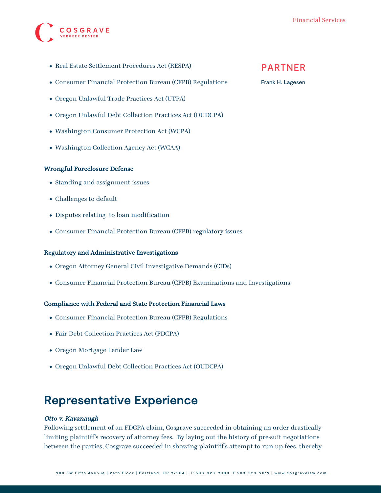

- Real Estate Settlement Procedures Act (RESPA)
- Consumer Financial Protection Bureau (CFPB) Regulations
- Oregon Unlawful Trade Practices Act (UTPA)
- Oregon Unlawful Debt Collection Practices Act (OUDCPA)
- Washington Consumer Protection Act (WCPA)
- Washington Collection Agency Act (WCAA)

### Wrongful Foreclosure Defense

- Standing and assignment issues
- Challenges to default
- Disputes relating to loan modification
- Consumer Financial Protection Bureau (CFPB) regulatory issues

### Regulatory and Administrative Investigations

- Oregon Attorney General Civil Investigative Demands (CIDs)
- Consumer Financial Protection Bureau (CFPB) Examinations and Investigations

### Compliance with Federal and State Protection Financial Laws

- Consumer Financial Protection Bureau (CFPB) Regulations
- Fair Debt Collection Practices Act (FDCPA)
- Oregon Mortgage Lender Law
- Oregon Unlawful Debt Collection Practices Act (OUDCPA)

## **Representative Experience**

### Otto v. Kavanaugh

Following settlement of an FDCPA claim, Cosgrave succeeded in obtaining an order drastically limiting plaintiff's recovery of attorney fees. By laying out the history of pre-suit negotiations between the parties, Cosgrave succeeded in showing plaintiff's attempt to run up fees, thereby

### PARTNER

#### [Frank H. Lagesen](https://www.cosgravelaw.com/frank-lagesen-business-commerical-litigation/)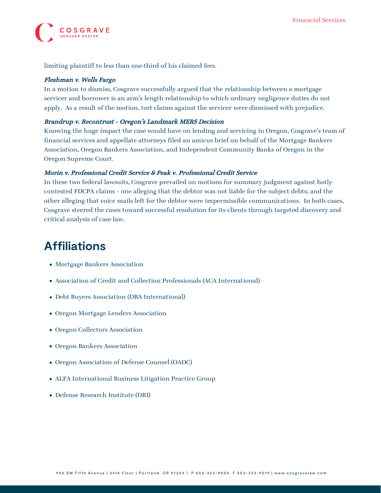

limiting plaintiff to less than one-third of his claimed fees.

### Fleshman v. Wells Fargo

In a motion to dismiss, Cosgrave successfully argued that the relationship between a mortgage servicer and borrower is an arm's length relationship to which ordinary negligence duties do not apply. As a result of the motion, tort claims against the servicer were dismissed with prejudice.

### Brandrup v. Recontrust – Oregon's Landmark MERS Decision

Knowing the huge impact the case would have on lending and servicing in Oregon, Cosgrave's team of financial services and appellate attorneys filed an amicus brief on behalf of the Mortgage Bankers Association, Oregon Bankers Association, and Independent Community Banks of Oregon in the Oregon Supreme Court.

### Morin v. Professional Credit Service & Peak v. Professional Credit Service

In these two federal lawsuits, Cosgrave prevailed on motions for summary judgment against hotlycontested FDCPA claims – one alleging that the debtor was not liable for the subject debts; and the other alleging that voice mails left for the debtor were impermissible communications. In both cases, Cosgrave steered the cases toward successful resolution for its clients through targeted discovery and critical analysis of case law.

## **Affiliations**

- Mortgage Bankers Association
- Association of Credit and Collection Professionals (ACA International)
- Debt Buyers Association (DBA International)
- Oregon Mortgage Lenders Association
- Oregon Collectors Association
- Oregon Bankers Association
- Oregon Association of Defense Counsel (OADC)
- ALFA International Business Litigation Practice Group
- Defense Research Institute (DRI)